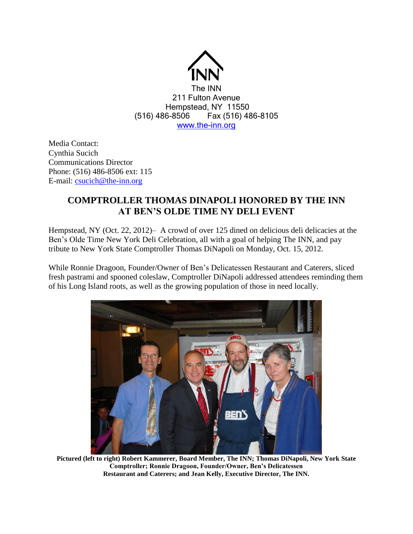

Media Contact: Cynthia Sucich Communications Director Phone: (516) 486-8506 ext: 115 E-mail: [csucich@the-inn.org](mailto:csucich@the-inn.org)

## **COMPTROLLER THOMAS DINAPOLI HONORED BY THE INN AT BEN'S OLDE TIME NY DELI EVENT**

Hempstead, NY (Oct. 22, 2012)– A crowd of over 125 dined on delicious deli delicacies at the Ben's Olde Time New York Deli Celebration, all with a goal of helping The INN, and pay tribute to New York State Comptroller Thomas DiNapoli on Monday, Oct. 15, 2012.

While Ronnie Dragoon, Founder/Owner of Ben's Delicatessen Restaurant and Caterers, sliced fresh pastrami and spooned coleslaw, Comptroller DiNapoli addressed attendees reminding them of his Long Island roots, as well as the growing population of those in need locally.



**Pictured (left to right) Robert Kammerer, Board Member, The INN; Thomas DiNapoli, New York State Comptroller; Ronnie Dragoon, Founder/Owner, Ben's Delicatessen Restaurant and Caterers; and Jean Kelly, Executive Director, The INN.**